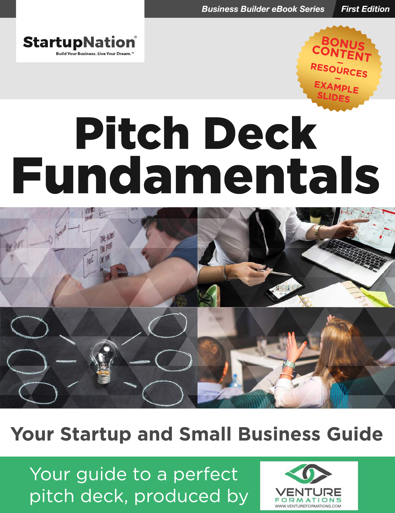



# Pitch Deck Fundamentals



# **Your Startup and Small Business Guide**

Your guide to a perfect pitch deck, produced by

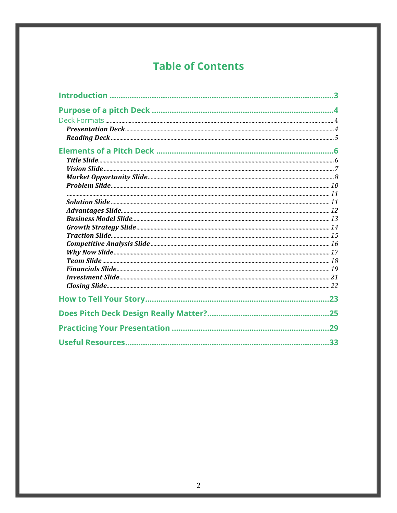# **Table of Contents**

| 23  |
|-----|
|     |
| .29 |
| .33 |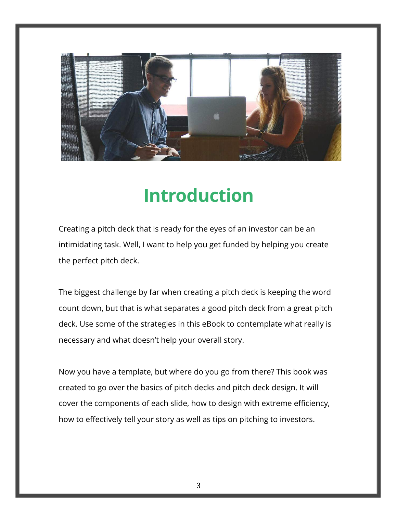

# **Introduction**

Creating a pitch deck that is ready for the eyes of an investor can be an intimidating task. Well, I want to help you get funded by helping you create the perfect pitch deck.

The biggest challenge by far when creating a pitch deck is keeping the word count down, but that is what separates a good pitch deck from a great pitch deck. Use some of the strategies in this eBook to contemplate what really is necessary and what doesn't help your overall story.

Now you have a template, but where do you go from there? This book was created to go over the basics of pitch decks and pitch deck design. It will cover the components of each slide, how to design with extreme efficiency, how to effectively tell your story as well as tips on pitching to investors.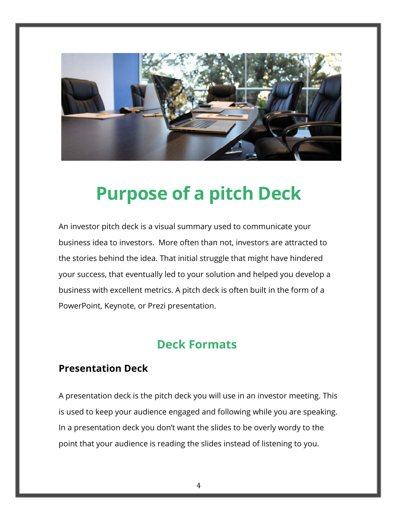

# **Purpose of a pitch Deck**

An investor pitch deck is a visual summary used to communicate your business idea to investors. More often than not, investors are attracted to the stories behind the idea. That initial struggle that might have hindered your success, that eventually led to your solution and helped you develop a business with excellent metrics. A pitch deck is often built in the form of a PowerPoint, Keynote, or Prezi presentation.

# **Deck Formats**

### **Presentation Deck**

A presentation deck is the pitch deck you will use in an investor meeting. This is used to keep your audience engaged and following while you are speaking. In a presentation deck you don't want the slides to be overly wordy to the point that your audience is reading the slides instead of listening to you.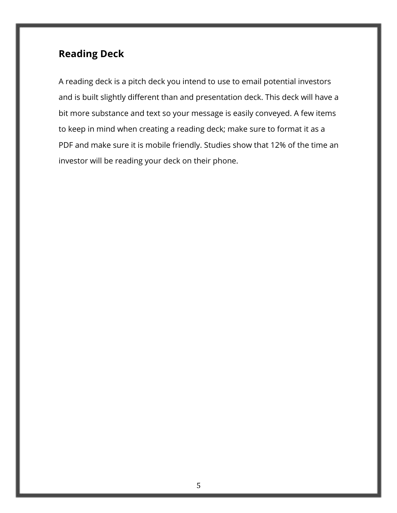# **Reading Deck**

A reading deck is a pitch deck you intend to use to email potential investors and is built slightly different than and presentation deck. This deck will have a bit more substance and text so your message is easily conveyed. A few items to keep in mind when creating a reading deck; make sure to format it as a PDF and make sure it is mobile friendly. Studies show that 12% of the time an investor will be reading your deck on their phone.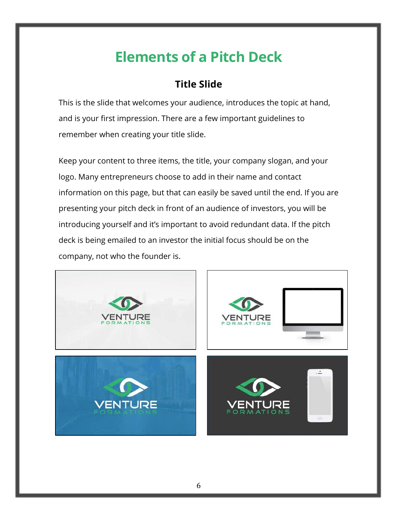# **Elements of a Pitch Deck**

# **Title Slide**

This is the slide that welcomes your audience, introduces the topic at hand, and is your first impression. There are a few important guidelines to remember when creating your title slide.

Keep your content to three items, the title, your company slogan, and your logo. Many entrepreneurs choose to add in their name and contact information on this page, but that can easily be saved until the end. If you are presenting your pitch deck in front of an audience of investors, you will be introducing yourself and it's important to avoid redundant data. If the pitch deck is being emailed to an investor the initial focus should be on the company, not who the founder is.

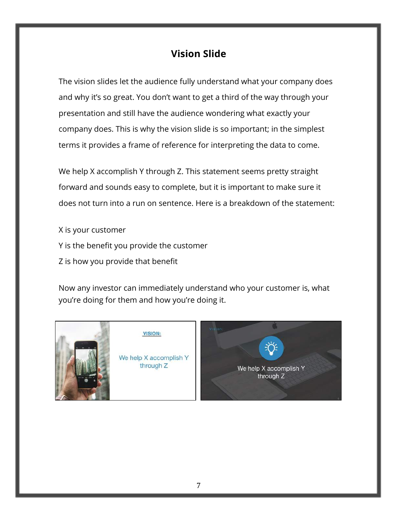### **Vision Slide**

The vision slides let the audience fully understand what your company does and why it's so great. You don't want to get a third of the way through your presentation and still have the audience wondering what exactly your company does. This is why the vision slide is so important; in the simplest terms it provides a frame of reference for interpreting the data to come.

We help X accomplish Y through Z. This statement seems pretty straight forward and sounds easy to complete, but it is important to make sure it does not turn into a run on sentence. Here is a breakdown of the statement:

X is your customer Y is the benefit you provide the customer Z is how you provide that benefit

Now any investor can immediately understand who your customer is, what you're doing for them and how you're doing it.



**VISION:** 

We help X accomplish Y through Z

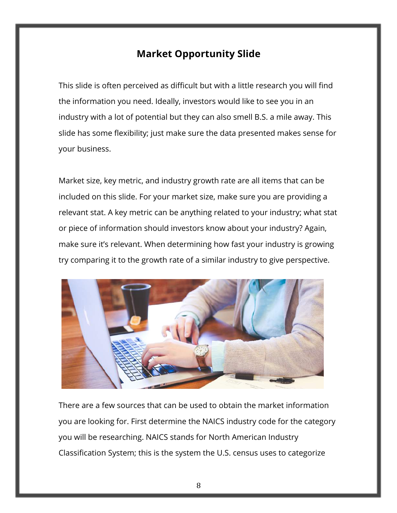### **Market Opportunity Slide**

This slide is often perceived as difficult but with a little research you will find the information you need. Ideally, investors would like to see you in an industry with a lot of potential but they can also smell B.S. a mile away. This slide has some flexibility; just make sure the data presented makes sense for your business.

Market size, key metric, and industry growth rate are all items that can be included on this slide. For your market size, make sure you are providing a relevant stat. A key metric can be anything related to your industry; what stat or piece of information should investors know about your industry? Again, make sure it's relevant. When determining how fast your industry is growing try comparing it to the growth rate of a similar industry to give perspective.



There are a few sources that can be used to obtain the market information you are looking for. First determine the NAICS industry code for the category you will be researching. NAICS stands for North American Industry Classification System; this is the system the U.S. census uses to categorize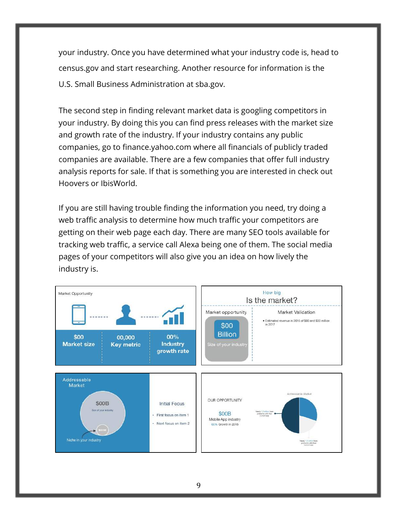your industry. Once you have determined what your industry code is, head to census.gov and start researching. Another resource for information is the U.S. Small Business Administration at sba.gov.

The second step in finding relevant market data is googling competitors in your industry. By doing this you can find press releases with the market size and growth rate of the industry. If your industry contains any public companies, go to finance.yahoo.com where all financials of publicly traded companies are available. There are a few companies that offer full industry analysis reports for sale. If that is something you are interested in check out Hoovers or IbisWorld.

If you are still having trouble finding the information you need, try doing a web traffic analysis to determine how much traffic your competitors are getting on their web page each day. There are many SEO tools available for tracking web traffic, a service call Alexa being one of them. The social media pages of your competitors will also give you an idea on how lively the industry is.

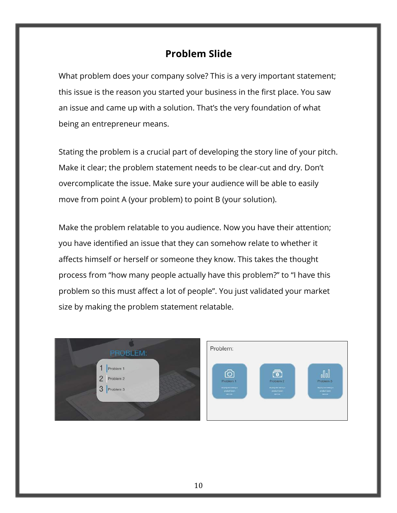### **Problem Slide**

What problem does your company solve? This is a very important statement; this issue is the reason you started your business in the first place. You saw an issue and came up with a solution. That's the very foundation of what being an entrepreneur means.

Stating the problem is a crucial part of developing the story line of your pitch. Make it clear; the problem statement needs to be clear-cut and dry. Don't overcomplicate the issue. Make sure your audience will be able to easily move from point A (your problem) to point B (your solution).

Make the problem relatable to you audience. Now you have their attention; you have identified an issue that they can somehow relate to whether it affects himself or herself or someone they know. This takes the thought process from "how many people actually have this problem?" to "I have this problem so this must affect a lot of people". You just validated your market size by making the problem statement relatable.



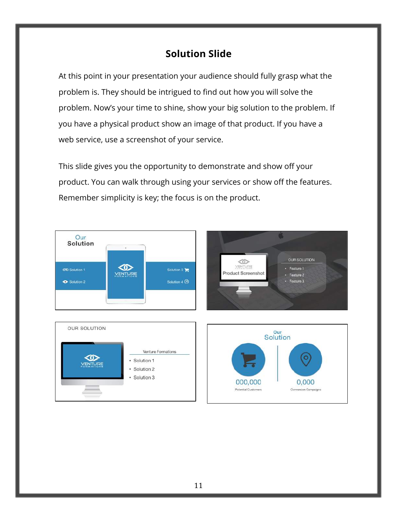# **Solution Slide**

At this point in your presentation your audience should fully grasp what the problem is. They should be intrigued to find out how you will solve the problem. Now's your time to shine, show your big solution to the problem. If you have a physical product show an image of that product. If you have a web service, use a screenshot of your service.

This slide gives you the opportunity to demonstrate and show off your product. You can walk through using your services or show off the features. Remember simplicity is key; the focus is on the product.







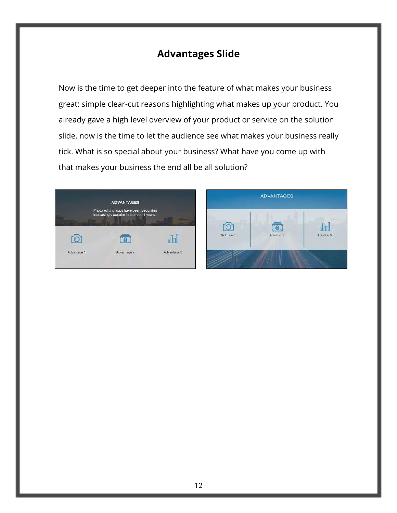# **Advantages Slide**

Now is the time to get deeper into the feature of what makes your business great; simple clear-cut reasons highlighting what makes up your product. You already gave a high level overview of your product or service on the solution slide, now is the time to let the audience see what makes your business really tick. What is so special about your business? What have you come up with that makes your business the end all be all solution?



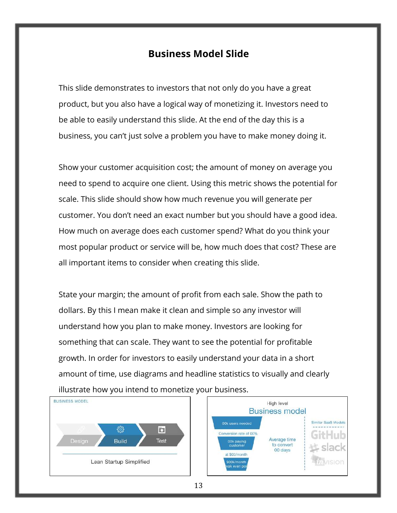### **Business Model Slide**

This slide demonstrates to investors that not only do you have a great product, but you also have a logical way of monetizing it. Investors need to be able to easily understand this slide. At the end of the day this is a business, you can't just solve a problem you have to make money doing it.

Show your customer acquisition cost; the amount of money on average you need to spend to acquire one client. Using this metric shows the potential for scale. This slide should show how much revenue you will generate per customer. You don't need an exact number but you should have a good idea. How much on average does each customer spend? What do you think your most popular product or service will be, how much does that cost? These are all important items to consider when creating this slide.

State your margin; the amount of profit from each sale. Show the path to dollars. By this I mean make it clean and simple so any investor will understand how you plan to make money. Investors are looking for something that can scale. They want to see the potential for profitable growth. In order for investors to easily understand your data in a short amount of time, use diagrams and headline statistics to visually and clearly illustrate how you intend to monetize your business.



13

Similar SaaS Models

slack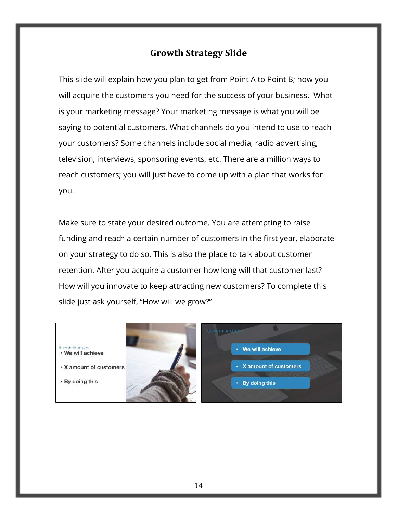### **Growth Strategy Slide**

This slide will explain how you plan to get from Point A to Point B; how you will acquire the customers you need for the success of your business. What is your marketing message? Your marketing message is what you will be saying to potential customers. What channels do you intend to use to reach your customers? Some channels include social media, radio advertising, television, interviews, sponsoring events, etc. There are a million ways to reach customers; you will just have to come up with a plan that works for you.

Make sure to state your desired outcome. You are attempting to raise funding and reach a certain number of customers in the first year, elaborate on your strategy to do so. This is also the place to talk about customer retention. After you acquire a customer how long will that customer last? How will you innovate to keep attracting new customers? To complete this slide just ask yourself, "How will we grow?"

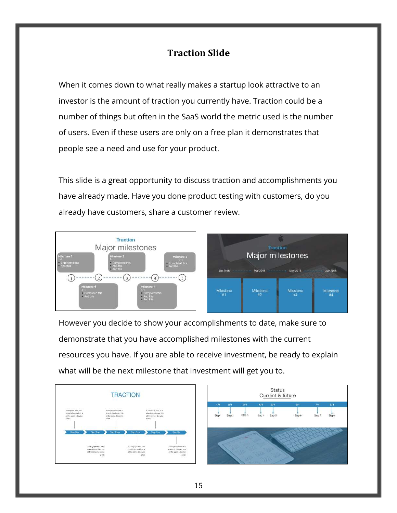### **Traction Slide**

When it comes down to what really makes a startup look attractive to an investor is the amount of traction you currently have. Traction could be a number of things but often in the SaaS world the metric used is the number of users. Even if these users are only on a free plan it demonstrates that people see a need and use for your product.

This slide is a great opportunity to discuss traction and accomplishments you have already made. Have you done product testing with customers, do you already have customers, share a customer review.



However you decide to show your accomplishments to date, make sure to demonstrate that you have accomplished milestones with the current resources you have. If you are able to receive investment, be ready to explain what will be the next milestone that investment will get you to.



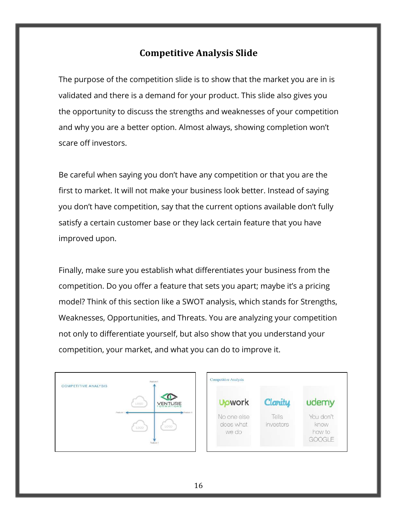### **Competitive Analysis Slide**

The purpose of the competition slide is to show that the market you are in is validated and there is a demand for your product. This slide also gives you the opportunity to discuss the strengths and weaknesses of your competition and why you are a better option. Almost always, showing completion won't scare off investors.

Be careful when saying you don't have any competition or that you are the first to market. It will not make your business look better. Instead of saying you don't have competition, say that the current options available don't fully satisfy a certain customer base or they lack certain feature that you have improved upon.

Finally, make sure you establish what differentiates your business from the competition. Do you offer a feature that sets you apart; maybe it's a pricing model? Think of this section like a SWOT analysis, which stands for Strengths, Weaknesses, Opportunities, and Threats. You are analyzing your competition not only to differentiate yourself, but also show that you understand your competition, your market, and what you can do to improve it.



| <b>U</b> owork                    | Clarity            | udemy                                 |
|-----------------------------------|--------------------|---------------------------------------|
| No one else<br>does what<br>we do | Tells<br>investors | You don't<br>know<br>how to<br>GOOGLE |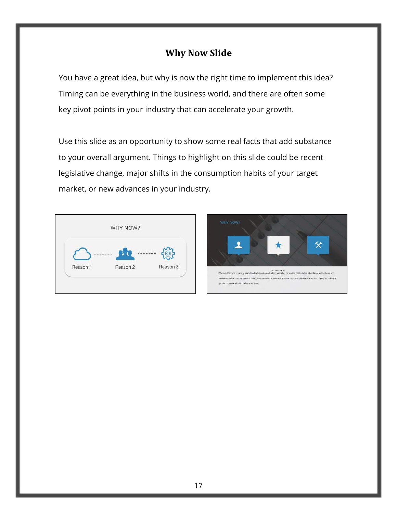### **Why Now Slide**

You have a great idea, but why is now the right time to implement this idea? Timing can be everything in the business world, and there are often some key pivot points in your industry that can accelerate your growth.

Use this slide as an opportunity to show some real facts that add substance to your overall argument. Things to highlight on this slide could be recent legislative change, major shifts in the consumption habits of your target market, or new advances in your industry.



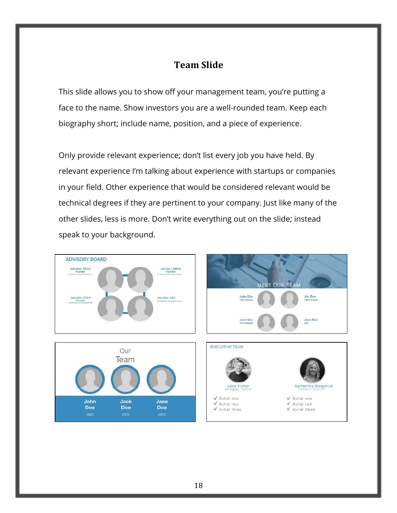#### **Team Slide**

This slide allows you to show off your management team, you're putting a face to the name. Show investors you are a well-rounded team. Keep each biography short; include name, position, and a piece of experience.

Only provide relevant experience; don't list every job you have held. By relevant experience I'm talking about experience with startups or companies in your field. Other experience that would be considered relevant would be technical degrees if they are pertinent to your company. Just like many of the other slides, less is more. Don't write everything out on the slide; instead speak to your background.







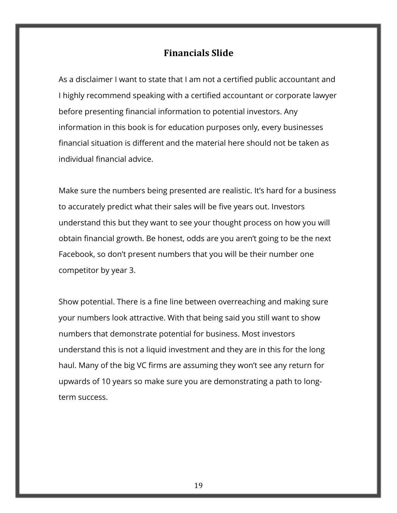#### **Financials Slide**

As a disclaimer I want to state that I am not a certified public accountant and I highly recommend speaking with a certified accountant or corporate lawyer before presenting financial information to potential investors. Any information in this book is for education purposes only, every businesses financial situation is different and the material here should not be taken as individual financial advice.

Make sure the numbers being presented are realistic. It's hard for a business to accurately predict what their sales will be five years out. Investors understand this but they want to see your thought process on how you will obtain financial growth. Be honest, odds are you aren't going to be the next Facebook, so don't present numbers that you will be their number one competitor by year 3.

Show potential. There is a fine line between overreaching and making sure your numbers look attractive. With that being said you still want to show numbers that demonstrate potential for business. Most investors understand this is not a liquid investment and they are in this for the long haul. Many of the big VC firms are assuming they won't see any return for upwards of 10 years so make sure you are demonstrating a path to longterm success.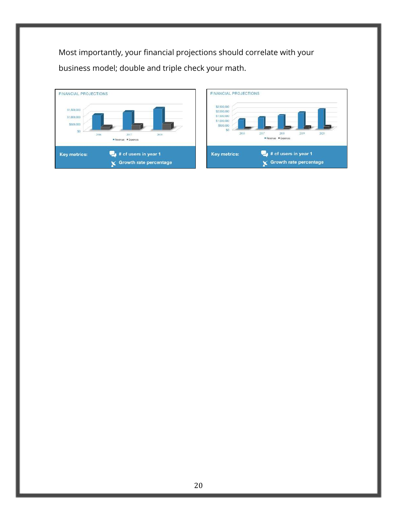Most importantly, your financial projections should correlate with your business model; double and triple check your math.



| <b>FINANCIAL PROJECTIONS</b><br>\$2,500,000                   |           |                               |      |      |
|---------------------------------------------------------------|-----------|-------------------------------|------|------|
| \$2,000,000<br>\$1,500,000<br>\$1,000,000<br>5500,000<br>2016 | 2017      | 2018                          | 2019 | 2020 |
|                                                               | = Revenue | Expenses                      |      |      |
| <b>Key metrics:</b>                                           |           | # of users in year 1          |      |      |
|                                                               |           | <b>Growth rate percentage</b> |      |      |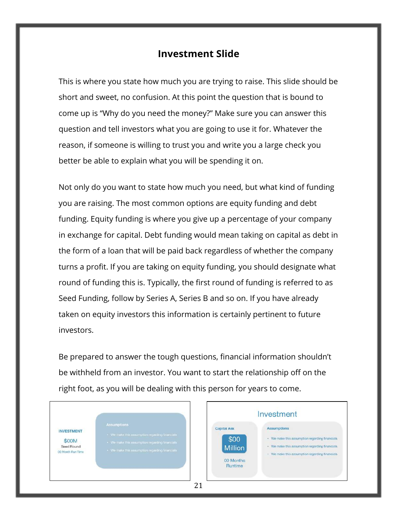#### **Investment Slide**

This is where you state how much you are trying to raise. This slide should be short and sweet, no confusion. At this point the question that is bound to come up is "Why do you need the money?" Make sure you can answer this question and tell investors what you are going to use it for. Whatever the reason, if someone is willing to trust you and write you a large check you better be able to explain what you will be spending it on.

Not only do you want to state how much you need, but what kind of funding you are raising. The most common options are equity funding and debt funding. Equity funding is where you give up a percentage of your company in exchange for capital. Debt funding would mean taking on capital as debt in the form of a loan that will be paid back regardless of whether the company turns a profit. If you are taking on equity funding, you should designate what round of funding this is. Typically, the first round of funding is referred to as Seed Funding, follow by Series A, Series B and so on. If you have already taken on equity investors this information is certainly pertinent to future investors.

Be prepared to answer the tough questions, financial information shouldn't be withheld from an investor. You want to start the relationship off on the right foot, as you will be dealing with this person for years to come.

|                                           | <b>Assumptions</b>                               |
|-------------------------------------------|--------------------------------------------------|
| 우리 이 아이들은 일이 아니라 사람이<br><b>INVESTMENT</b> | · We make this assumption regarding financials   |
|                                           |                                                  |
| \$00M                                     | · We make this assumption requireding financials |
| Seed Round                                |                                                  |
| 00 Month Flun Time                        | · We make this assumption regarding financials   |

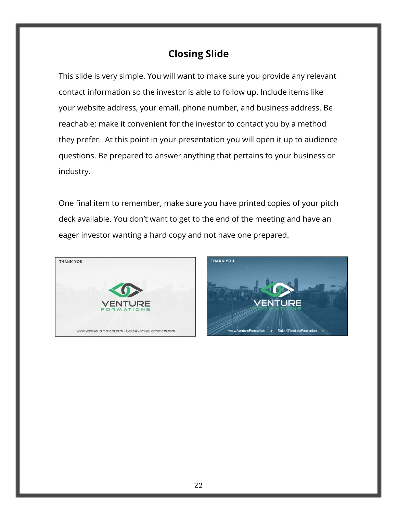# **Closing Slide**

This slide is very simple. You will want to make sure you provide any relevant contact information so the investor is able to follow up. Include items like your website address, your email, phone number, and business address. Be reachable; make it convenient for the investor to contact you by a method they prefer. At this point in your presentation you will open it up to audience questions. Be prepared to answer anything that pertains to your business or industry.

One final item to remember, make sure you have printed copies of your pitch deck available. You don't want to get to the end of the meeting and have an eager investor wanting a hard copy and not have one prepared.



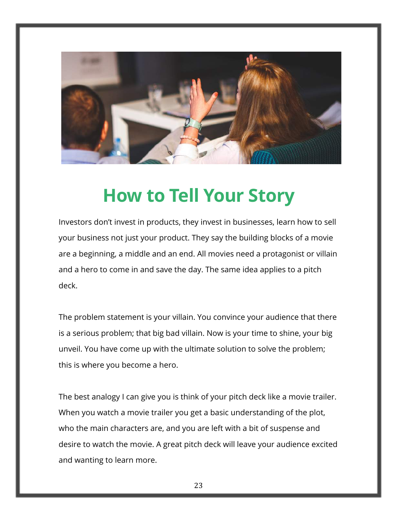

# **How to Tell Your Story**

Investors don't invest in products, they invest in businesses, learn how to sell your business not just your product. They say the building blocks of a movie are a beginning, a middle and an end. All movies need a protagonist or villain and a hero to come in and save the day. The same idea applies to a pitch deck.

The problem statement is your villain. You convince your audience that there is a serious problem; that big bad villain. Now is your time to shine, your big unveil. You have come up with the ultimate solution to solve the problem; this is where you become a hero.

The best analogy I can give you is think of your pitch deck like a movie trailer. When you watch a movie trailer you get a basic understanding of the plot, who the main characters are, and you are left with a bit of suspense and desire to watch the movie. A great pitch deck will leave your audience excited and wanting to learn more.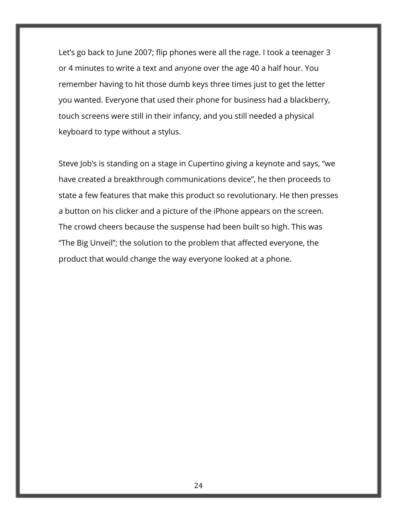Let's go back to June 2007; flip phones were all the rage. I took a teenager 3 or 4 minutes to write a text and anyone over the age 40 a half hour. You remember having to hit those dumb keys three times just to get the letter you wanted. Everyone that used their phone for business had a blackberry, touch screens were still in their infancy, and you still needed a physical keyboard to type without a stylus.

Steve Job's is standing on a stage in Cupertino giving a keynote and says, "we have created a breakthrough communications device", he then proceeds to state a few features that make this product so revolutionary. He then presses a button on his clicker and a picture of the iPhone appears on the screen. The crowd cheers because the suspense had been built so high. This was "The Big Unveil"; the solution to the problem that affected everyone, the product that would change the way everyone looked at a phone.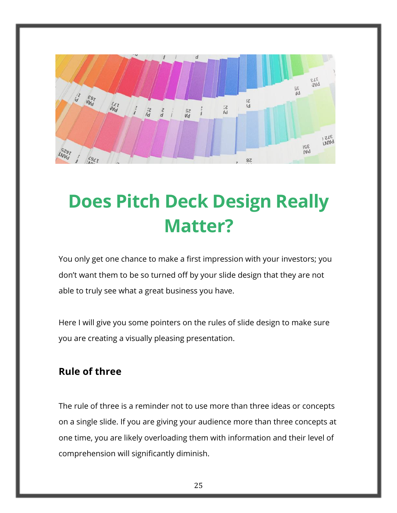

# **Does Pitch Deck Design Really Matter?**

You only get one chance to make a first impression with your investors; you don't want them to be so turned off by your slide design that they are not able to truly see what a great business you have.

Here I will give you some pointers on the rules of slide design to make sure you are creating a visually pleasing presentation.

### **Rule of three**

The rule of three is a reminder not to use more than three ideas or concepts on a single slide. If you are giving your audience more than three concepts at one time, you are likely overloading them with information and their level of comprehension will significantly diminish.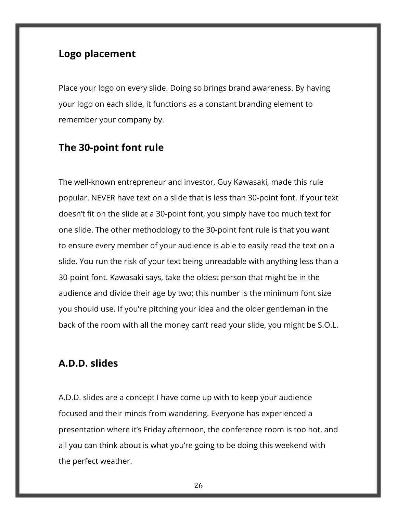### **Logo placement**

Place your logo on every slide. Doing so brings brand awareness. By having your logo on each slide, it functions as a constant branding element to remember your company by.

#### **The 30-point font rule**

The well-known entrepreneur and investor, Guy Kawasaki, made this rule popular. NEVER have text on a slide that is less than 30-point font. If your text doesn't fit on the slide at a 30-point font, you simply have too much text for one slide. The other methodology to the 30-point font rule is that you want to ensure every member of your audience is able to easily read the text on a slide. You run the risk of your text being unreadable with anything less than a 30-point font. Kawasaki says, take the oldest person that might be in the audience and divide their age by two; this number is the minimum font size you should use. If you're pitching your idea and the older gentleman in the back of the room with all the money can't read your slide, you might be S.O.L.

#### **A.D.D. slides**

A.D.D. slides are a concept I have come up with to keep your audience focused and their minds from wandering. Everyone has experienced a presentation where it's Friday afternoon, the conference room is too hot, and all you can think about is what you're going to be doing this weekend with the perfect weather.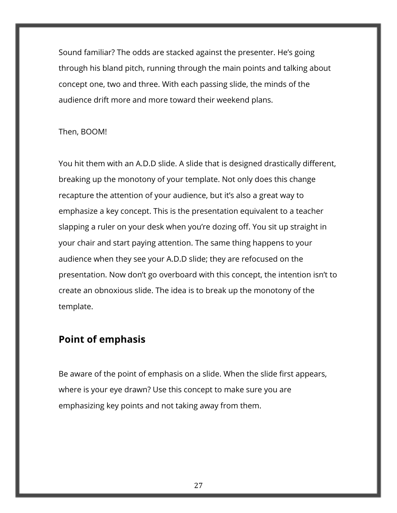Sound familiar? The odds are stacked against the presenter. He's going through his bland pitch, running through the main points and talking about concept one, two and three. With each passing slide, the minds of the audience drift more and more toward their weekend plans.

#### Then, BOOM!

You hit them with an A.D.D slide. A slide that is designed drastically different, breaking up the monotony of your template. Not only does this change recapture the attention of your audience, but it's also a great way to emphasize a key concept. This is the presentation equivalent to a teacher slapping a ruler on your desk when you're dozing off. You sit up straight in your chair and start paying attention. The same thing happens to your audience when they see your A.D.D slide; they are refocused on the presentation. Now don't go overboard with this concept, the intention isn't to create an obnoxious slide. The idea is to break up the monotony of the template.

### **Point of emphasis**

Be aware of the point of emphasis on a slide. When the slide first appears, where is your eye drawn? Use this concept to make sure you are emphasizing key points and not taking away from them.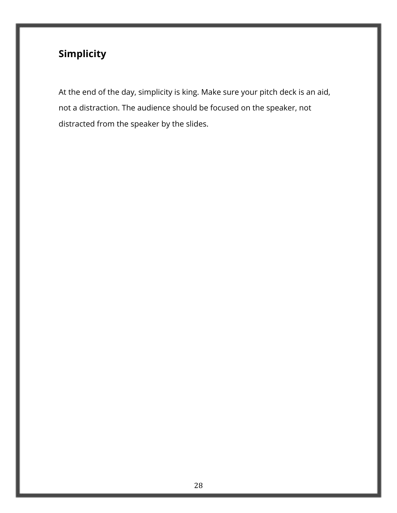# **Simplicity**

At the end of the day, simplicity is king. Make sure your pitch deck is an aid, not a distraction. The audience should be focused on the speaker, not distracted from the speaker by the slides.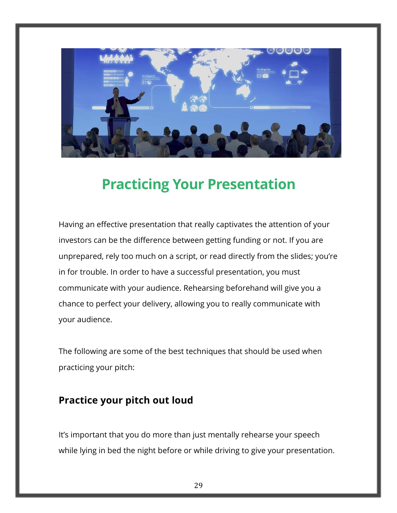

# **Practicing Your Presentation**

Having an effective presentation that really captivates the attention of your investors can be the difference between getting funding or not. If you are unprepared, rely too much on a script, or read directly from the slides; you're in for trouble. In order to have a successful presentation, you must communicate with your audience. Rehearsing beforehand will give you a chance to perfect your delivery, allowing you to really communicate with your audience.

The following are some of the best techniques that should be used when practicing your pitch:

### **Practice your pitch out loud**

It's important that you do more than just mentally rehearse your speech while lying in bed the night before or while driving to give your presentation.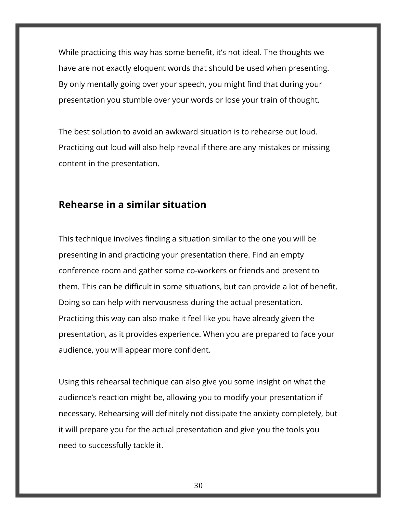While practicing this way has some benefit, it's not ideal. The thoughts we have are not exactly eloquent words that should be used when presenting. By only mentally going over your speech, you might find that during your presentation you stumble over your words or lose your train of thought.

The best solution to avoid an awkward situation is to rehearse out loud. Practicing out loud will also help reveal if there are any mistakes or missing content in the presentation.

#### **Rehearse in a similar situation**

This technique involves finding a situation similar to the one you will be presenting in and practicing your presentation there. Find an empty conference room and gather some co-workers or friends and present to them. This can be difficult in some situations, but can provide a lot of benefit. Doing so can help with nervousness during the actual presentation. Practicing this way can also make it feel like you have already given the presentation, as it provides experience. When you are prepared to face your audience, you will appear more confident.

Using this rehearsal technique can also give you some insight on what the audience's reaction might be, allowing you to modify your presentation if necessary. Rehearsing will definitely not dissipate the anxiety completely, but it will prepare you for the actual presentation and give you the tools you need to successfully tackle it.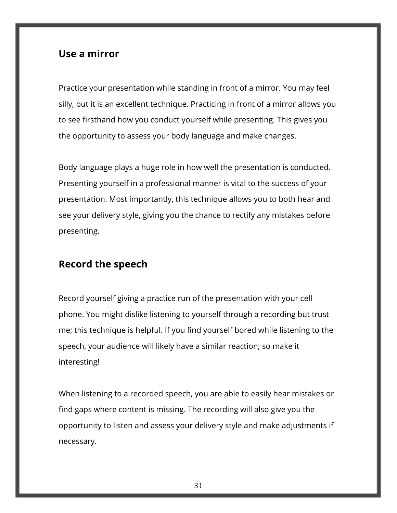### **Use a mirror**

Practice your presentation while standing in front of a mirror. You may feel silly, but it is an excellent technique. Practicing in front of a mirror allows you to see firsthand how you conduct yourself while presenting. This gives you the opportunity to assess your body language and make changes.

Body language plays a huge role in how well the presentation is conducted. Presenting yourself in a professional manner is vital to the success of your presentation. Most importantly, this technique allows you to both hear and see your delivery style, giving you the chance to rectify any mistakes before presenting.

### **Record the speech**

Record yourself giving a practice run of the presentation with your cell phone. You might dislike listening to yourself through a recording but trust me; this technique is helpful. If you find yourself bored while listening to the speech, your audience will likely have a similar reaction; so make it interesting!

When listening to a recorded speech, you are able to easily hear mistakes or find gaps where content is missing. The recording will also give you the opportunity to listen and assess your delivery style and make adjustments if necessary.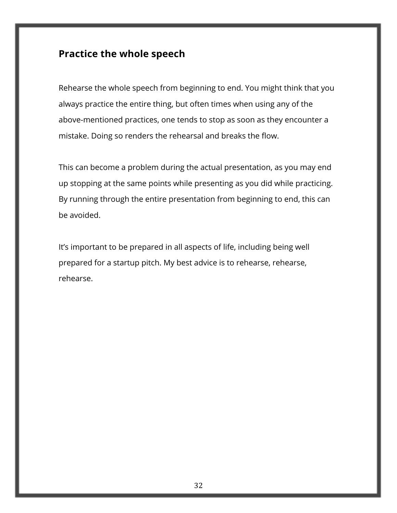### **Practice the whole speech**

Rehearse the whole speech from beginning to end. You might think that you always practice the entire thing, but often times when using any of the above-mentioned practices, one tends to stop as soon as they encounter a mistake. Doing so renders the rehearsal and breaks the flow.

This can become a problem during the actual presentation, as you may end up stopping at the same points while presenting as you did while practicing. By running through the entire presentation from beginning to end, this can be avoided.

It's important to be prepared in all aspects of life, including being well prepared for a startup pitch. My best advice is to rehearse, rehearse, rehearse.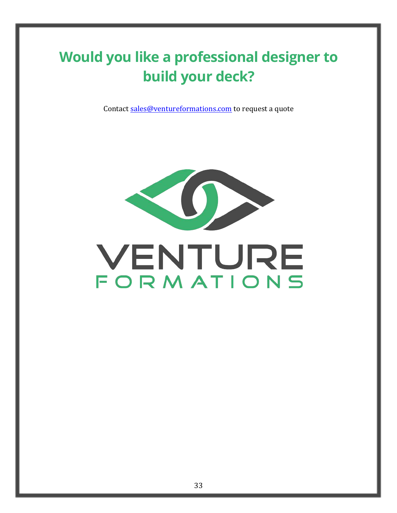# **Would you like a professional designer to build your deck?**

Contact sales@ventureformations.com to request a quote



# VENTURE FORMATIONS